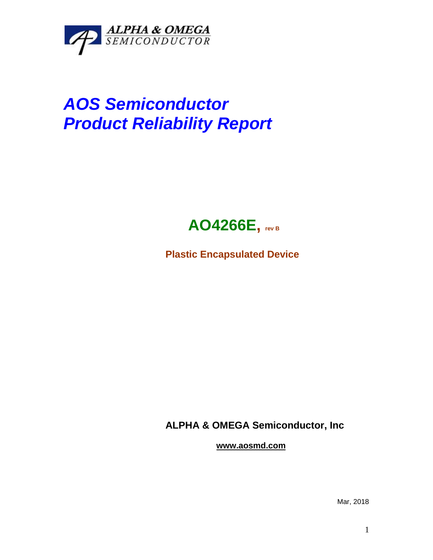

## *AOS Semiconductor Product Reliability Report*



**Plastic Encapsulated Device**

**ALPHA & OMEGA Semiconductor, Inc**

**www.aosmd.com**

Mar, 2018